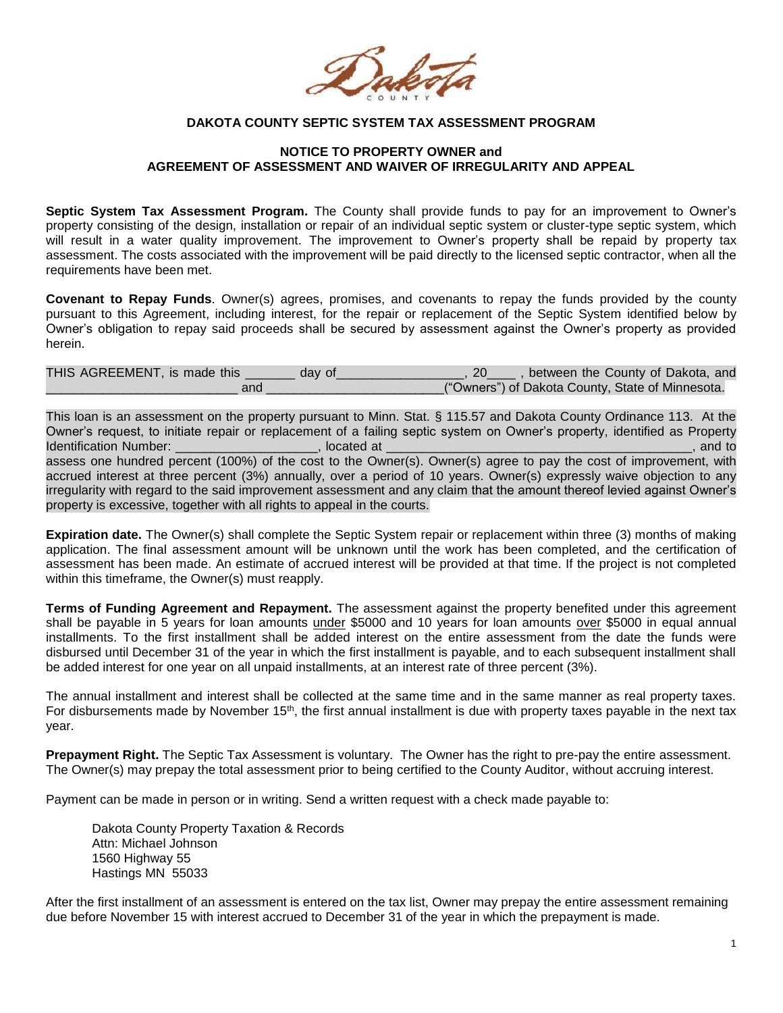

## **DAKOTA COUNTY SEPTIC SYSTEM TAX ASSESSMENT PROGRAM**

## **NOTICE TO PROPERTY OWNER and AGREEMENT OF ASSESSMENT AND WAIVER OF IRREGULARITY AND APPEAL**

**Septic System Tax Assessment Program.** The County shall provide funds to pay for an improvement to Owner's property consisting of the design, installation or repair of an individual septic system or cluster-type septic system, which will result in a water quality improvement. The improvement to Owner's property shall be repaid by property tax assessment. The costs associated with the improvement will be paid directly to the licensed septic contractor, when all the requirements have been met.

**Covenant to Repay Funds**. Owner(s) agrees, promises, and covenants to repay the funds provided by the county pursuant to this Agreement, including interest, for the repair or replacement of the Septic System identified below by Owner's obligation to repay said proceeds shall be secured by assessment against the Owner's property as provided herein.

| THIS AGREEMENT, is made this | day of | , between the County of Dakota, and<br>20        |
|------------------------------|--------|--------------------------------------------------|
| anc                          |        | ("Owners") of Dakota County, State of Minnesota. |

This loan is an assessment on the property pursuant to Minn. Stat. § 115.57 and Dakota County Ordinance 113. At the Owner's request, to initiate repair or replacement of a failing septic system on Owner's property, identified as Property Identification Number: \_\_\_\_\_\_\_\_\_\_\_\_\_\_\_\_\_\_\_\_, located at \_\_\_\_\_\_\_\_\_\_\_\_\_\_\_\_\_\_\_\_\_\_\_\_\_\_\_\_\_\_\_\_\_\_\_\_\_\_\_\_\_\_\_, and to assess one hundred percent (100%) of the cost to the Owner(s). Owner(s) agree to pay the cost of improvement, with accrued interest at three percent (3%) annually, over a period of 10 years. Owner(s) expressly waive objection to any irregularity with regard to the said improvement assessment and any claim that the amount thereof levied against Owner's property is excessive, together with all rights to appeal in the courts.

**Expiration date.** The Owner(s) shall complete the Septic System repair or replacement within three (3) months of making application. The final assessment amount will be unknown until the work has been completed, and the certification of assessment has been made. An estimate of accrued interest will be provided at that time. If the project is not completed within this timeframe, the Owner(s) must reapply.

**Terms of Funding Agreement and Repayment.** The assessment against the property benefited under this agreement shall be payable in 5 years for loan amounts under \$5000 and 10 years for loan amounts over \$5000 in equal annual installments. To the first installment shall be added interest on the entire assessment from the date the funds were disbursed until December 31 of the year in which the first installment is payable, and to each subsequent installment shall be added interest for one year on all unpaid installments, at an interest rate of three percent (3%).

The annual installment and interest shall be collected at the same time and in the same manner as real property taxes. For disbursements made by November 15<sup>th</sup>, the first annual installment is due with property taxes payable in the next tax year.

**Prepayment Right.** The Septic Tax Assessment is voluntary. The Owner has the right to pre-pay the entire assessment. The Owner(s) may prepay the total assessment prior to being certified to the County Auditor, without accruing interest.

Payment can be made in person or in writing. Send a written request with a check made payable to:

Dakota County Property Taxation & Records Attn: Michael Johnson 1560 Highway 55 Hastings MN 55033

After the first installment of an assessment is entered on the tax list, Owner may prepay the entire assessment remaining due before November 15 with interest accrued to December 31 of the year in which the prepayment is made.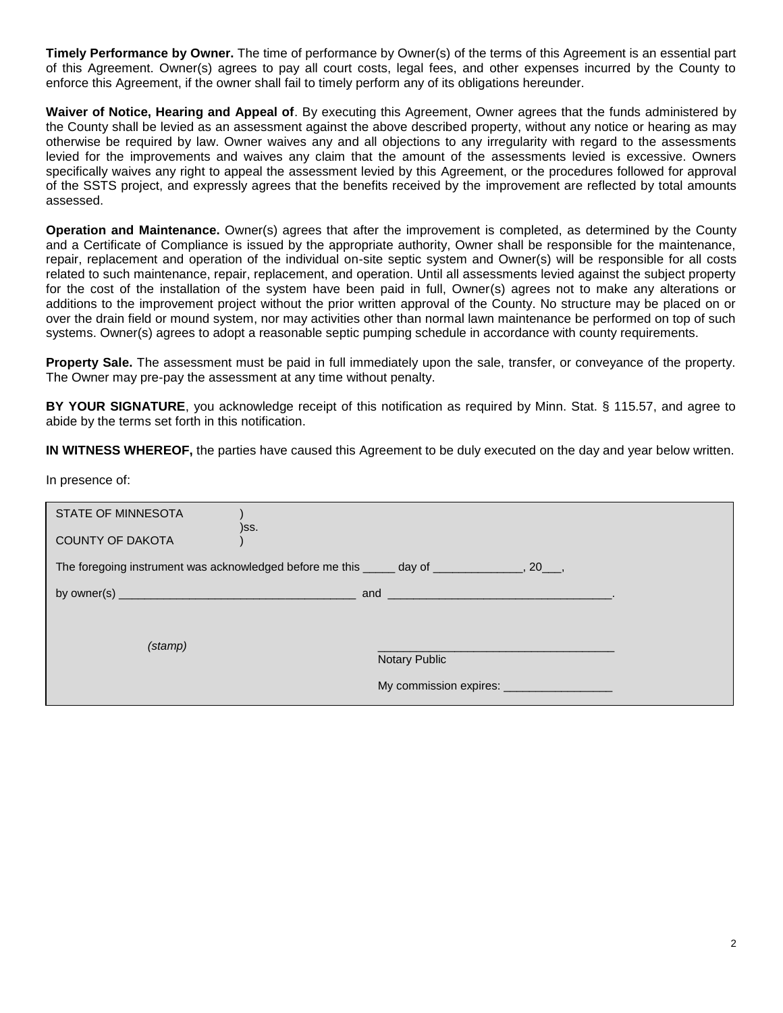**Timely Performance by Owner.** The time of performance by Owner(s) of the terms of this Agreement is an essential part of this Agreement. Owner(s) agrees to pay all court costs, legal fees, and other expenses incurred by the County to enforce this Agreement, if the owner shall fail to timely perform any of its obligations hereunder.

**Waiver of Notice, Hearing and Appeal of**. By executing this Agreement, Owner agrees that the funds administered by the County shall be levied as an assessment against the above described property, without any notice or hearing as may otherwise be required by law. Owner waives any and all objections to any irregularity with regard to the assessments levied for the improvements and waives any claim that the amount of the assessments levied is excessive. Owners specifically waives any right to appeal the assessment levied by this Agreement, or the procedures followed for approval of the SSTS project, and expressly agrees that the benefits received by the improvement are reflected by total amounts assessed.

**Operation and Maintenance.** Owner(s) agrees that after the improvement is completed, as determined by the County and a Certificate of Compliance is issued by the appropriate authority, Owner shall be responsible for the maintenance, repair, replacement and operation of the individual on-site septic system and Owner(s) will be responsible for all costs related to such maintenance, repair, replacement, and operation. Until all assessments levied against the subject property for the cost of the installation of the system have been paid in full, Owner(s) agrees not to make any alterations or additions to the improvement project without the prior written approval of the County. No structure may be placed on or over the drain field or mound system, nor may activities other than normal lawn maintenance be performed on top of such systems. Owner(s) agrees to adopt a reasonable septic pumping schedule in accordance with county requirements.

**Property Sale.** The assessment must be paid in full immediately upon the sale, transfer, or conveyance of the property. The Owner may pre-pay the assessment at any time without penalty.

**BY YOUR SIGNATURE**, you acknowledge receipt of this notification as required by Minn. Stat. § 115.57, and agree to abide by the terms set forth in this notification.

**IN WITNESS WHEREOF,** the parties have caused this Agreement to be duly executed on the day and year below written.

In presence of:

| <b>STATE OF MINNESOTA</b>                                                                                                                                                                                                                                                             |                      |  |  |
|---------------------------------------------------------------------------------------------------------------------------------------------------------------------------------------------------------------------------------------------------------------------------------------|----------------------|--|--|
| <b>COUNTY OF DAKOTA</b>                                                                                                                                                                                                                                                               | )SS.                 |  |  |
| The foregoing instrument was acknowledged before me this ______ day of _______________, 20___,                                                                                                                                                                                        |                      |  |  |
| by owner(s) $\frac{1}{2}$ by owner(s) $\frac{1}{2}$ by owner(s) $\frac{1}{2}$ and $\frac{1}{2}$ and $\frac{1}{2}$ and $\frac{1}{2}$ and $\frac{1}{2}$ and $\frac{1}{2}$ and $\frac{1}{2}$ and $\frac{1}{2}$ and $\frac{1}{2}$ and $\frac{1}{2}$ and $\frac{1}{2}$ and $\frac{1}{2}$ a |                      |  |  |
|                                                                                                                                                                                                                                                                                       |                      |  |  |
| (stamp)                                                                                                                                                                                                                                                                               | <b>Notary Public</b> |  |  |
|                                                                                                                                                                                                                                                                                       |                      |  |  |